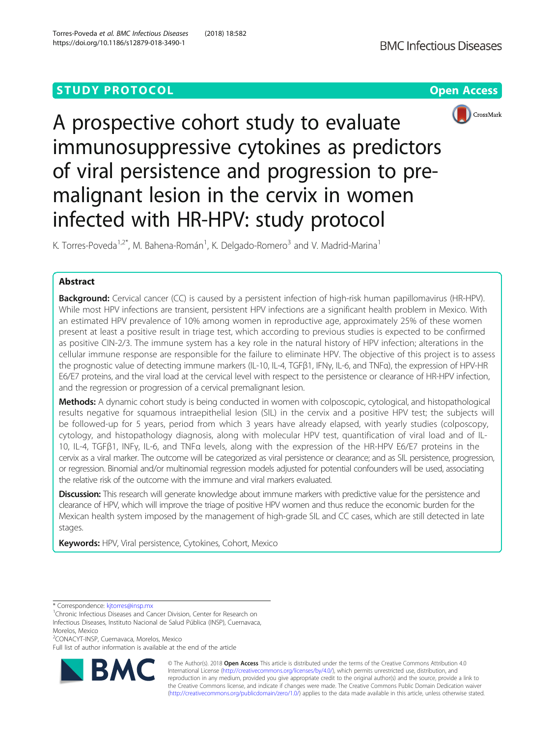# **STUDY PROTOCOL CONSUMING THE RESERVE ACCESS**





A prospective cohort study to evaluate immunosuppressive cytokines as predictors of viral persistence and progression to premalignant lesion in the cervix in women infected with HR-HPV: study protocol

K. Torres-Poveda<sup>1,2\*</sup>, M. Bahena-Román<sup>1</sup>, K. Delgado-Romero<sup>3</sup> and V. Madrid-Marina<sup>1</sup>

# Abstract

Background: Cervical cancer (CC) is caused by a persistent infection of high-risk human papillomavirus (HR-HPV). While most HPV infections are transient, persistent HPV infections are a significant health problem in Mexico. With an estimated HPV prevalence of 10% among women in reproductive age, approximately 25% of these women present at least a positive result in triage test, which according to previous studies is expected to be confirmed as positive CIN-2/3. The immune system has a key role in the natural history of HPV infection; alterations in the cellular immune response are responsible for the failure to eliminate HPV. The objective of this project is to assess the prognostic value of detecting immune markers (IL-10, IL-4, TGFβ1, IFNγ, IL-6, and TNFα), the expression of HPV-HR E6/E7 proteins, and the viral load at the cervical level with respect to the persistence or clearance of HR-HPV infection, and the regression or progression of a cervical premalignant lesion.

Methods: A dynamic cohort study is being conducted in women with colposcopic, cytological, and histopathological results negative for squamous intraepithelial lesion (SIL) in the cervix and a positive HPV test; the subjects will be followed-up for 5 years, period from which 3 years have already elapsed, with yearly studies (colposcopy, cytology, and histopathology diagnosis, along with molecular HPV test, quantification of viral load and of IL-10, IL-4, TGFβ1, INFγ, IL-6, and TNFα levels, along with the expression of the HR-HPV E6/E7 proteins in the cervix as a viral marker. The outcome will be categorized as viral persistence or clearance; and as SIL persistence, progression, or regression. Binomial and/or multinomial regression models adjusted for potential confounders will be used, associating the relative risk of the outcome with the immune and viral markers evaluated.

Discussion: This research will generate knowledge about immune markers with predictive value for the persistence and clearance of HPV, which will improve the triage of positive HPV women and thus reduce the economic burden for the Mexican health system imposed by the management of high-grade SIL and CC cases, which are still detected in late stages.

Keywords: HPV, Viral persistence, Cytokines, Cohort, Mexico

\* Correspondence: [kjtorres@insp.mx](mailto:kjtorres@insp.mx) <sup>1</sup>

2 CONACYT-INSP, Cuernavaca, Morelos, Mexico

Full list of author information is available at the end of the article



© The Author(s). 2018 Open Access This article is distributed under the terms of the Creative Commons Attribution 4.0 International License [\(http://creativecommons.org/licenses/by/4.0/](http://creativecommons.org/licenses/by/4.0/)), which permits unrestricted use, distribution, and reproduction in any medium, provided you give appropriate credit to the original author(s) and the source, provide a link to the Creative Commons license, and indicate if changes were made. The Creative Commons Public Domain Dedication waiver [\(http://creativecommons.org/publicdomain/zero/1.0/](http://creativecommons.org/publicdomain/zero/1.0/)) applies to the data made available in this article, unless otherwise stated.

<sup>&</sup>lt;sup>1</sup>Chronic Infectious Diseases and Cancer Division, Center for Research on Infectious Diseases, Instituto Nacional de Salud Pública (INSP), Cuernavaca, Morelos, Mexico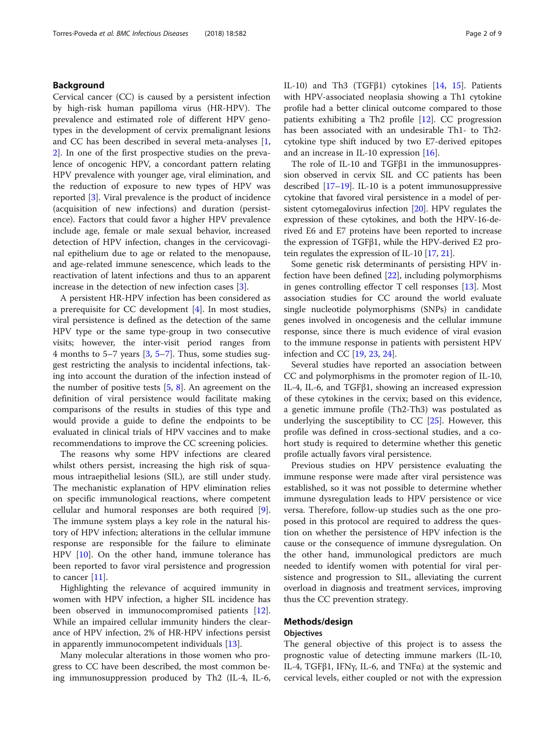# Background

Cervical cancer (CC) is caused by a persistent infection by high-risk human papilloma virus (HR-HPV). The prevalence and estimated role of different HPV genotypes in the development of cervix premalignant lesions and CC has been described in several meta-analyses [\[1](#page-7-0), [2\]](#page-7-0). In one of the first prospective studies on the prevalence of oncogenic HPV, a concordant pattern relating HPV prevalence with younger age, viral elimination, and the reduction of exposure to new types of HPV was reported [[3\]](#page-7-0). Viral prevalence is the product of incidence (acquisition of new infections) and duration (persistence). Factors that could favor a higher HPV prevalence include age, female or male sexual behavior, increased detection of HPV infection, changes in the cervicovaginal epithelium due to age or related to the menopause, and age-related immune senescence, which leads to the reactivation of latent infections and thus to an apparent increase in the detection of new infection cases [[3\]](#page-7-0).

A persistent HR-HPV infection has been considered as a prerequisite for CC development [\[4](#page-7-0)]. In most studies, viral persistence is defined as the detection of the same HPV type or the same type-group in two consecutive visits; however, the inter-visit period ranges from 4 months to 5–7 years [\[3](#page-7-0), [5](#page-7-0)–[7](#page-7-0)]. Thus, some studies suggest restricting the analysis to incidental infections, taking into account the duration of the infection instead of the number of positive tests [[5,](#page-7-0) [8\]](#page-7-0). An agreement on the definition of viral persistence would facilitate making comparisons of the results in studies of this type and would provide a guide to define the endpoints to be evaluated in clinical trials of HPV vaccines and to make recommendations to improve the CC screening policies.

The reasons why some HPV infections are cleared whilst others persist, increasing the high risk of squamous intraepithelial lesions (SIL), are still under study. The mechanistic explanation of HPV elimination relies on specific immunological reactions, where competent cellular and humoral responses are both required [\[9](#page-7-0)]. The immune system plays a key role in the natural history of HPV infection; alterations in the cellular immune response are responsible for the failure to eliminate HPV [[10\]](#page-7-0). On the other hand, immune tolerance has been reported to favor viral persistence and progression to cancer [[11\]](#page-7-0).

Highlighting the relevance of acquired immunity in women with HPV infection, a higher SIL incidence has been observed in immunocompromised patients [\[12](#page-7-0)]. While an impaired cellular immunity hinders the clearance of HPV infection, 2% of HR-HPV infections persist in apparently immunocompetent individuals [[13\]](#page-7-0).

Many molecular alterations in those women who progress to CC have been described, the most common being immunosuppression produced by Th2 (IL-4, IL-6, IL-10) and Th3 (TGFβ1) cytokines [\[14](#page-7-0), [15\]](#page-7-0). Patients with HPV-associated neoplasia showing a Th1 cytokine profile had a better clinical outcome compared to those patients exhibiting a Th2 profile [[12\]](#page-7-0). CC progression has been associated with an undesirable Th1- to Th2 cytokine type shift induced by two E7-derived epitopes and an increase in IL-10 expression [[16\]](#page-7-0).

The role of IL-10 and TGFβ1 in the immunosuppression observed in cervix SIL and CC patients has been described [[17](#page-7-0)–[19\]](#page-8-0). IL-10 is a potent immunosuppressive cytokine that favored viral persistence in a model of persistent cytomegalovirus infection [[20](#page-8-0)]. HPV regulates the expression of these cytokines, and both the HPV-16-derived E6 and E7 proteins have been reported to increase the expression of TGFβ1, while the HPV-derived E2 protein regulates the expression of IL-10 [[17,](#page-7-0) [21\]](#page-8-0).

Some genetic risk determinants of persisting HPV infection have been defined [\[22\]](#page-8-0), including polymorphisms in genes controlling effector T cell responses [[13](#page-7-0)]. Most association studies for CC around the world evaluate single nucleotide polymorphisms (SNPs) in candidate genes involved in oncogenesis and the cellular immune response, since there is much evidence of viral evasion to the immune response in patients with persistent HPV infection and CC [\[19,](#page-8-0) [23,](#page-8-0) [24\]](#page-8-0).

Several studies have reported an association between CC and polymorphisms in the promoter region of IL-10, IL-4, IL-6, and TGFβ1, showing an increased expression of these cytokines in the cervix; based on this evidence, a genetic immune profile (Th2-Th3) was postulated as underlying the susceptibility to CC [[25](#page-8-0)]. However, this profile was defined in cross-sectional studies, and a cohort study is required to determine whether this genetic profile actually favors viral persistence.

Previous studies on HPV persistence evaluating the immune response were made after viral persistence was established, so it was not possible to determine whether immune dysregulation leads to HPV persistence or vice versa. Therefore, follow-up studies such as the one proposed in this protocol are required to address the question on whether the persistence of HPV infection is the cause or the consequence of immune dysregulation. On the other hand, immunological predictors are much needed to identify women with potential for viral persistence and progression to SIL, alleviating the current overload in diagnosis and treatment services, improving thus the CC prevention strategy.

# Methods/design

# **Objectives**

The general objective of this project is to assess the prognostic value of detecting immune markers (IL-10, IL-4, TGFβ1, IFNγ, IL-6, and TNFα) at the systemic and cervical levels, either coupled or not with the expression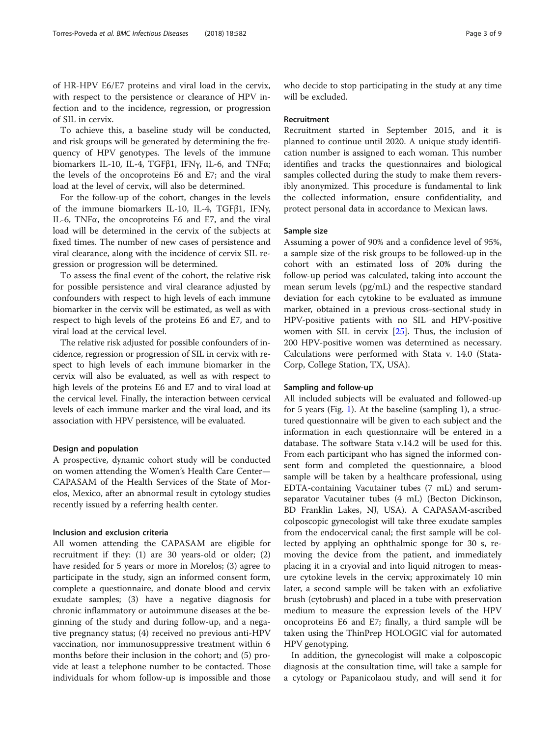of HR-HPV E6/E7 proteins and viral load in the cervix, with respect to the persistence or clearance of HPV infection and to the incidence, regression, or progression of SIL in cervix.

To achieve this, a baseline study will be conducted, and risk groups will be generated by determining the frequency of HPV genotypes. The levels of the immune biomarkers IL-10, IL-4, TGFβ1, IFNγ, IL-6, and TNFα; the levels of the oncoproteins E6 and E7; and the viral load at the level of cervix, will also be determined.

For the follow-up of the cohort, changes in the levels of the immune biomarkers IL-10, IL-4, TGFβ1, IFNγ, IL-6, TNFα, the oncoproteins E6 and E7, and the viral load will be determined in the cervix of the subjects at fixed times. The number of new cases of persistence and viral clearance, along with the incidence of cervix SIL regression or progression will be determined.

To assess the final event of the cohort, the relative risk for possible persistence and viral clearance adjusted by confounders with respect to high levels of each immune biomarker in the cervix will be estimated, as well as with respect to high levels of the proteins E6 and E7, and to viral load at the cervical level.

The relative risk adjusted for possible confounders of incidence, regression or progression of SIL in cervix with respect to high levels of each immune biomarker in the cervix will also be evaluated, as well as with respect to high levels of the proteins E6 and E7 and to viral load at the cervical level. Finally, the interaction between cervical levels of each immune marker and the viral load, and its association with HPV persistence, will be evaluated.

## Design and population

A prospective, dynamic cohort study will be conducted on women attending the Women's Health Care Center— CAPASAM of the Health Services of the State of Morelos, Mexico, after an abnormal result in cytology studies recently issued by a referring health center.

# Inclusion and exclusion criteria

All women attending the CAPASAM are eligible for recruitment if they: (1) are 30 years-old or older; (2) have resided for 5 years or more in Morelos; (3) agree to participate in the study, sign an informed consent form, complete a questionnaire, and donate blood and cervix exudate samples; (3) have a negative diagnosis for chronic inflammatory or autoimmune diseases at the beginning of the study and during follow-up, and a negative pregnancy status; (4) received no previous anti-HPV vaccination, nor immunosuppressive treatment within 6 months before their inclusion in the cohort; and (5) provide at least a telephone number to be contacted. Those individuals for whom follow-up is impossible and those who decide to stop participating in the study at any time will be excluded.

## Recruitment

Recruitment started in September 2015, and it is planned to continue until 2020. A unique study identification number is assigned to each woman. This number identifies and tracks the questionnaires and biological samples collected during the study to make them reversibly anonymized. This procedure is fundamental to link the collected information, ensure confidentiality, and protect personal data in accordance to Mexican laws.

## Sample size

Assuming a power of 90% and a confidence level of 95%, a sample size of the risk groups to be followed-up in the cohort with an estimated loss of 20% during the follow-up period was calculated, taking into account the mean serum levels (pg/mL) and the respective standard deviation for each cytokine to be evaluated as immune marker, obtained in a previous cross-sectional study in HPV-positive patients with no SIL and HPV-positive women with SIL in cervix [\[25](#page-8-0)]. Thus, the inclusion of 200 HPV-positive women was determined as necessary. Calculations were performed with Stata v. 14.0 (Stata-Corp, College Station, TX, USA).

## Sampling and follow-up

All included subjects will be evaluated and followed-up for 5 years (Fig. [1](#page-3-0)). At the baseline (sampling 1), a structured questionnaire will be given to each subject and the information in each questionnaire will be entered in a database. The software Stata v.14.2 will be used for this. From each participant who has signed the informed consent form and completed the questionnaire, a blood sample will be taken by a healthcare professional, using EDTA-containing Vacutainer tubes (7 mL) and serumseparator Vacutainer tubes (4 mL) (Becton Dickinson, BD Franklin Lakes, NJ, USA). A CAPASAM-ascribed colposcopic gynecologist will take three exudate samples from the endocervical canal; the first sample will be collected by applying an ophthalmic sponge for 30 s, removing the device from the patient, and immediately placing it in a cryovial and into liquid nitrogen to measure cytokine levels in the cervix; approximately 10 min later, a second sample will be taken with an exfoliative brush (cytobrush) and placed in a tube with preservation medium to measure the expression levels of the HPV oncoproteins E6 and E7; finally, a third sample will be taken using the ThinPrep HOLOGIC vial for automated HPV genotyping.

In addition, the gynecologist will make a colposcopic diagnosis at the consultation time, will take a sample for a cytology or Papanicolaou study, and will send it for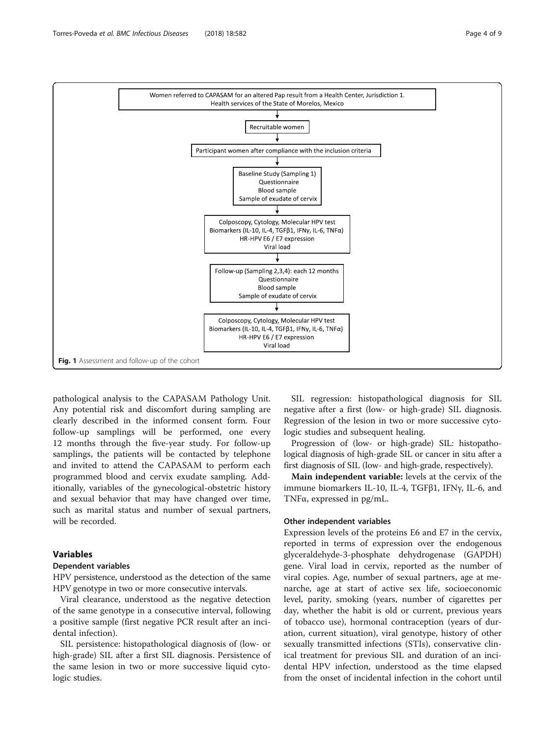<span id="page-3-0"></span>

pathological analysis to the CAPASAM Pathology Unit. Any potential risk and discomfort during sampling are clearly described in the informed consent form. Four follow-up samplings will be performed, one every 12 months through the five-year study. For follow-up samplings, the patients will be contacted by telephone and invited to attend the CAPASAM to perform each programmed blood and cervix exudate sampling. Additionally, variables of the gynecological-obstetric history and sexual behavior that may have changed over time, such as marital status and number of sexual partners, will be recorded.

# Variables

# Dependent variables

HPV persistence, understood as the detection of the same HPV genotype in two or more consecutive intervals.

Viral clearance, understood as the negative detection of the same genotype in a consecutive interval, following a positive sample (first negative PCR result after an incidental infection).

SIL persistence: histopathological diagnosis of (low- or high-grade) SIL after a first SIL diagnosis. Persistence of the same lesion in two or more successive liquid cytologic studies.

SIL regression: histopathological diagnosis for SIL negative after a first (low- or high-grade) SIL diagnosis. Regression of the lesion in two or more successive cytologic studies and subsequent healing.

Progression of (low- or high-grade) SIL: histopathological diagnosis of high-grade SIL or cancer in situ after a first diagnosis of SIL (low- and high-grade, respectively).

Main independent variable: levels at the cervix of the immune biomarkers IL-10, IL-4, TGFβ1, IFNγ, IL-6, and TNFα, expressed in pg/mL.

## Other independent variables

Expression levels of the proteins E6 and E7 in the cervix, reported in terms of expression over the endogenous glyceraldehyde-3-phosphate dehydrogenase (GAPDH) gene. Viral load in cervix, reported as the number of viral copies. Age, number of sexual partners, age at menarche, age at start of active sex life, socioeconomic level, parity, smoking (years, number of cigarettes per day, whether the habit is old or current, previous years of tobacco use), hormonal contraception (years of duration, current situation), viral genotype, history of other sexually transmitted infections (STIs), conservative clinical treatment for previous SIL and duration of an incidental HPV infection, understood as the time elapsed from the onset of incidental infection in the cohort until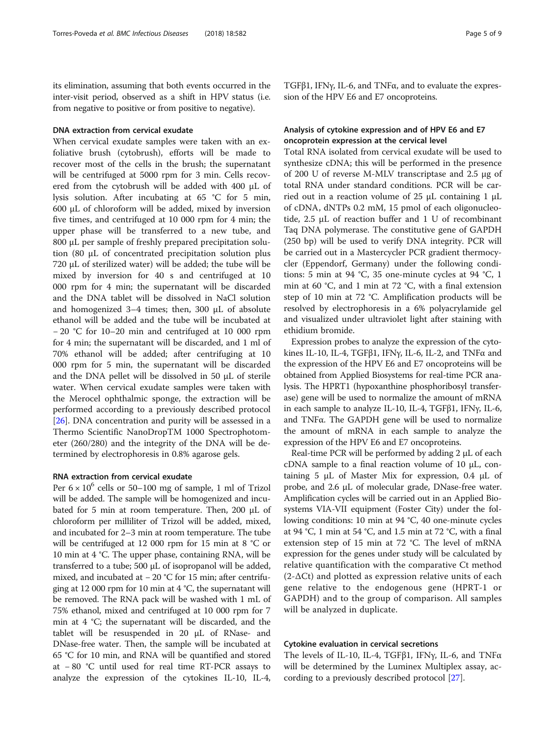its elimination, assuming that both events occurred in the inter-visit period, observed as a shift in HPV status (i.e. from negative to positive or from positive to negative).

# DNA extraction from cervical exudate

When cervical exudate samples were taken with an exfoliative brush (cytobrush), efforts will be made to recover most of the cells in the brush; the supernatant will be centrifuged at 5000 rpm for 3 min. Cells recovered from the cytobrush will be added with 400 μL of lysis solution. After incubating at 65 °C for 5 min, 600 μL of chloroform will be added, mixed by inversion five times, and centrifuged at 10 000 rpm for 4 min; the upper phase will be transferred to a new tube, and 800 μL per sample of freshly prepared precipitation solution (80 μL of concentrated precipitation solution plus 720 μL of sterilized water) will be added; the tube will be mixed by inversion for 40 s and centrifuged at 10 000 rpm for 4 min; the supernatant will be discarded and the DNA tablet will be dissolved in NaCl solution and homogenized 3–4 times; then, 300 μL of absolute ethanol will be added and the tube will be incubated at − 20 °C for 10–20 min and centrifuged at 10 000 rpm for 4 min; the supernatant will be discarded, and 1 ml of 70% ethanol will be added; after centrifuging at 10 000 rpm for 5 min, the supernatant will be discarded and the DNA pellet will be dissolved in 50 μL of sterile water. When cervical exudate samples were taken with the Merocel ophthalmic sponge, the extraction will be performed according to a previously described protocol [[26\]](#page-8-0). DNA concentration and purity will be assessed in a Thermo Scientific NanoDropTM 1000 Spectrophotometer (260/280) and the integrity of the DNA will be determined by electrophoresis in 0.8% agarose gels.

## RNA extraction from cervical exudate

Per  $6 \times 10^6$  cells or 50–100 mg of sample, 1 ml of Trizol will be added. The sample will be homogenized and incubated for 5 min at room temperature. Then, 200 μL of chloroform per milliliter of Trizol will be added, mixed, and incubated for 2–3 min at room temperature. The tube will be centrifuged at 12 000 rpm for 15 min at 8 °C or 10 min at 4 °C. The upper phase, containing RNA, will be transferred to a tube; 500 μL of isopropanol will be added, mixed, and incubated at − 20 °C for 15 min; after centrifuging at 12 000 rpm for 10 min at 4 °C, the supernatant will be removed. The RNA pack will be washed with 1 mL of 75% ethanol, mixed and centrifuged at 10 000 rpm for 7 min at 4 °C; the supernatant will be discarded, and the tablet will be resuspended in 20 μL of RNase- and DNase-free water. Then, the sample will be incubated at 65 °C for 10 min, and RNA will be quantified and stored at − 80 °C until used for real time RT-PCR assays to analyze the expression of the cytokines IL-10, IL-4, TGFβ1, IFNγ, IL-6, and TNFα, and to evaluate the expression of the HPV E6 and E7 oncoproteins.

# Analysis of cytokine expression and of HPV E6 and E7 oncoprotein expression at the cervical level

Total RNA isolated from cervical exudate will be used to synthesize cDNA; this will be performed in the presence of 200 U of reverse M-MLV transcriptase and 2.5 μg of total RNA under standard conditions. PCR will be carried out in a reaction volume of 25 μL containing 1 μL of cDNA, dNTPs 0.2 mM, 15 pmol of each oligonucleotide, 2.5 μL of reaction buffer and 1 U of recombinant Taq DNA polymerase. The constitutive gene of GAPDH (250 bp) will be used to verify DNA integrity. PCR will be carried out in a Mastercycler PCR gradient thermocycler (Eppendorf, Germany) under the following conditions: 5 min at 94 °C, 35 one-minute cycles at 94 °C, 1 min at 60 °C, and 1 min at 72 °C, with a final extension step of 10 min at 72 °C. Amplification products will be resolved by electrophoresis in a 6% polyacrylamide gel and visualized under ultraviolet light after staining with ethidium bromide.

Expression probes to analyze the expression of the cytokines IL-10, IL-4, TGF $\beta$ 1, IFN $\gamma$ , IL-6, IL-2, and TNF $\alpha$  and the expression of the HPV E6 and E7 oncoproteins will be obtained from Applied Biosystems for real-time PCR analysis. The HPRT1 (hypoxanthine phosphoribosyl transferase) gene will be used to normalize the amount of mRNA in each sample to analyze IL-10, IL-4, TGFβ1, IFNγ, IL-6, and TNFα. The GAPDH gene will be used to normalize the amount of mRNA in each sample to analyze the expression of the HPV E6 and E7 oncoproteins.

Real-time PCR will be performed by adding 2 μL of each cDNA sample to a final reaction volume of 10  $\mu$ L, containing 5 μL of Master Mix for expression, 0.4 μL of probe, and 2.6 μL of molecular grade, DNase-free water. Amplification cycles will be carried out in an Applied Biosystems VIA-VII equipment (Foster City) under the following conditions: 10 min at 94 °C, 40 one-minute cycles at 94 °C, 1 min at 54 °C, and 1.5 min at 72 °C, with a final extension step of 15 min at 72 °C. The level of mRNA expression for the genes under study will be calculated by relative quantification with the comparative Ct method  $(2-\Delta Ct)$  and plotted as expression relative units of each gene relative to the endogenous gene (HPRT-1 or GAPDH) and to the group of comparison. All samples will be analyzed in duplicate.

# Cytokine evaluation in cervical secretions

The levels of IL-10, IL-4, TGFβ1, IFNγ, IL-6, and TNFα will be determined by the Luminex Multiplex assay, according to a previously described protocol [\[27\]](#page-8-0).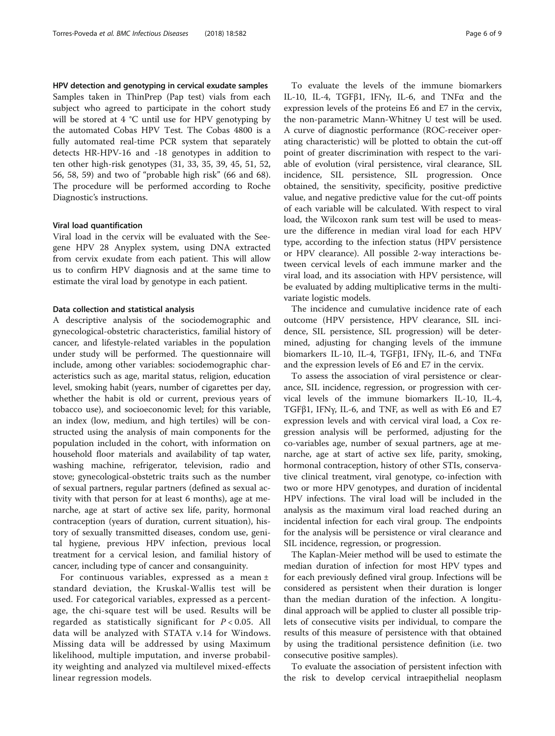## HPV detection and genotyping in cervical exudate samples

Samples taken in ThinPrep (Pap test) vials from each subject who agreed to participate in the cohort study will be stored at 4 °C until use for HPV genotyping by the automated Cobas HPV Test. The Cobas 4800 is a fully automated real-time PCR system that separately detects HR-HPV-16 and -18 genotypes in addition to ten other high-risk genotypes (31, 33, 35, 39, 45, 51, 52, 56, 58, 59) and two of "probable high risk" (66 and 68). The procedure will be performed according to Roche Diagnostic's instructions.

## Viral load quantification

Viral load in the cervix will be evaluated with the Seegene HPV 28 Anyplex system, using DNA extracted from cervix exudate from each patient. This will allow us to confirm HPV diagnosis and at the same time to estimate the viral load by genotype in each patient.

## Data collection and statistical analysis

A descriptive analysis of the sociodemographic and gynecological-obstetric characteristics, familial history of cancer, and lifestyle-related variables in the population under study will be performed. The questionnaire will include, among other variables: sociodemographic characteristics such as age, marital status, religion, education level, smoking habit (years, number of cigarettes per day, whether the habit is old or current, previous years of tobacco use), and socioeconomic level; for this variable, an index (low, medium, and high tertiles) will be constructed using the analysis of main components for the population included in the cohort, with information on household floor materials and availability of tap water, washing machine, refrigerator, television, radio and stove; gynecological-obstetric traits such as the number of sexual partners, regular partners (defined as sexual activity with that person for at least 6 months), age at menarche, age at start of active sex life, parity, hormonal contraception (years of duration, current situation), history of sexually transmitted diseases, condom use, genital hygiene, previous HPV infection, previous local treatment for a cervical lesion, and familial history of cancer, including type of cancer and consanguinity.

For continuous variables, expressed as a mean ± standard deviation, the Kruskal-Wallis test will be used. For categorical variables, expressed as a percentage, the chi-square test will be used. Results will be regarded as statistically significant for  $P < 0.05$ . All data will be analyzed with STATA v.14 for Windows. Missing data will be addressed by using Maximum likelihood, multiple imputation, and inverse probability weighting and analyzed via multilevel mixed-effects linear regression models.

To evaluate the levels of the immune biomarkers IL-10, IL-4, TGFβ1, IFNγ, IL-6, and TNFα and the expression levels of the proteins E6 and E7 in the cervix, the non-parametric Mann-Whitney U test will be used. A curve of diagnostic performance (ROC-receiver operating characteristic) will be plotted to obtain the cut-off point of greater discrimination with respect to the variable of evolution (viral persistence, viral clearance, SIL incidence, SIL persistence, SIL progression. Once obtained, the sensitivity, specificity, positive predictive value, and negative predictive value for the cut-off points of each variable will be calculated. With respect to viral load, the Wilcoxon rank sum test will be used to measure the difference in median viral load for each HPV type, according to the infection status (HPV persistence or HPV clearance). All possible 2-way interactions between cervical levels of each immune marker and the viral load, and its association with HPV persistence, will be evaluated by adding multiplicative terms in the multivariate logistic models.

The incidence and cumulative incidence rate of each outcome (HPV persistence, HPV clearance, SIL incidence, SIL persistence, SIL progression) will be determined, adjusting for changing levels of the immune biomarkers IL-10, IL-4, TGFβ1, IFNγ, IL-6, and TNFα and the expression levels of E6 and E7 in the cervix.

To assess the association of viral persistence or clearance, SIL incidence, regression, or progression with cervical levels of the immune biomarkers IL-10, IL-4, TGFβ1, IFNγ, IL-6, and TNF, as well as with E6 and E7 expression levels and with cervical viral load, a Cox regression analysis will be performed, adjusting for the co-variables age, number of sexual partners, age at menarche, age at start of active sex life, parity, smoking, hormonal contraception, history of other STIs, conservative clinical treatment, viral genotype, co-infection with two or more HPV genotypes, and duration of incidental HPV infections. The viral load will be included in the analysis as the maximum viral load reached during an incidental infection for each viral group. The endpoints for the analysis will be persistence or viral clearance and SIL incidence, regression, or progression.

The Kaplan-Meier method will be used to estimate the median duration of infection for most HPV types and for each previously defined viral group. Infections will be considered as persistent when their duration is longer than the median duration of the infection. A longitudinal approach will be applied to cluster all possible triplets of consecutive visits per individual, to compare the results of this measure of persistence with that obtained by using the traditional persistence definition (i.e. two consecutive positive samples).

To evaluate the association of persistent infection with the risk to develop cervical intraepithelial neoplasm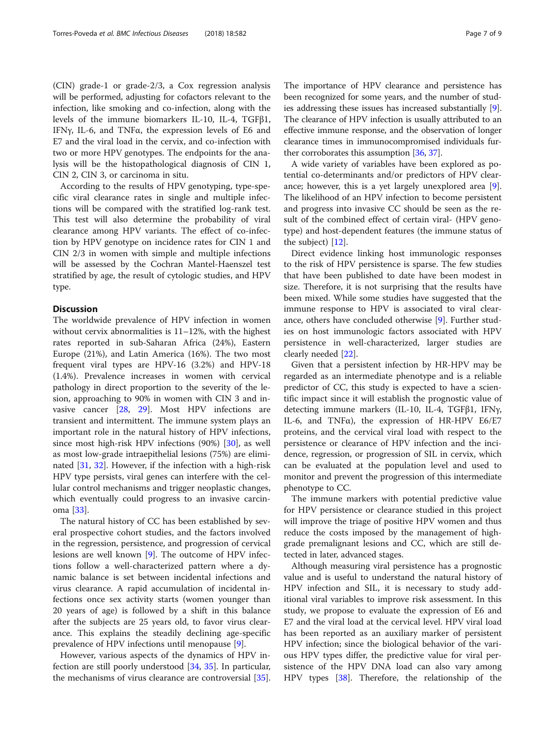(CIN) grade-1 or grade-2/3, a Cox regression analysis will be performed, adjusting for cofactors relevant to the infection, like smoking and co-infection, along with the levels of the immune biomarkers IL-10, IL-4, TGFβ1, IFNγ, IL-6, and TNFα, the expression levels of E6 and E7 and the viral load in the cervix, and co-infection with two or more HPV genotypes. The endpoints for the analysis will be the histopathological diagnosis of CIN 1, CIN 2, CIN 3, or carcinoma in situ.

According to the results of HPV genotyping, type-specific viral clearance rates in single and multiple infections will be compared with the stratified log-rank test. This test will also determine the probability of viral clearance among HPV variants. The effect of co-infection by HPV genotype on incidence rates for CIN 1 and CIN 2/3 in women with simple and multiple infections will be assessed by the Cochran Mantel-Haenszel test stratified by age, the result of cytologic studies, and HPV type.

# **Discussion**

The worldwide prevalence of HPV infection in women without cervix abnormalities is 11–12%, with the highest rates reported in sub-Saharan Africa (24%), Eastern Europe (21%), and Latin America (16%). The two most frequent viral types are HPV-16 (3.2%) and HPV-18 (1.4%). Prevalence increases in women with cervical pathology in direct proportion to the severity of the lesion, approaching to 90% in women with CIN 3 and invasive cancer [[28,](#page-8-0) [29](#page-8-0)]. Most HPV infections are transient and intermittent. The immune system plays an important role in the natural history of HPV infections, since most high-risk HPV infections (90%) [\[30\]](#page-8-0), as well as most low-grade intraepithelial lesions (75%) are eliminated [[31,](#page-8-0) [32\]](#page-8-0). However, if the infection with a high-risk HPV type persists, viral genes can interfere with the cellular control mechanisms and trigger neoplastic changes, which eventually could progress to an invasive carcinoma [[33](#page-8-0)].

The natural history of CC has been established by several prospective cohort studies, and the factors involved in the regression, persistence, and progression of cervical lesions are well known [[9\]](#page-7-0). The outcome of HPV infections follow a well-characterized pattern where a dynamic balance is set between incidental infections and virus clearance. A rapid accumulation of incidental infections once sex activity starts (women younger than 20 years of age) is followed by a shift in this balance after the subjects are 25 years old, to favor virus clearance. This explains the steadily declining age-specific prevalence of HPV infections until menopause [[9\]](#page-7-0).

However, various aspects of the dynamics of HPV infection are still poorly understood [\[34,](#page-8-0) [35](#page-8-0)]. In particular, the mechanisms of virus clearance are controversial [\[35](#page-8-0)]. The importance of HPV clearance and persistence has been recognized for some years, and the number of studies addressing these issues has increased substantially [[9](#page-7-0)]. The clearance of HPV infection is usually attributed to an effective immune response, and the observation of longer clearance times in immunocompromised individuals further corroborates this assumption [[36](#page-8-0), [37\]](#page-8-0).

A wide variety of variables have been explored as potential co-determinants and/or predictors of HPV clearance; however, this is a yet largely unexplored area [\[9](#page-7-0)]. The likelihood of an HPV infection to become persistent and progress into invasive CC should be seen as the result of the combined effect of certain viral- (HPV genotype) and host-dependent features (the immune status of the subject) [[12](#page-7-0)].

Direct evidence linking host immunologic responses to the risk of HPV persistence is sparse. The few studies that have been published to date have been modest in size. Therefore, it is not surprising that the results have been mixed. While some studies have suggested that the immune response to HPV is associated to viral clearance, others have concluded otherwise [\[9](#page-7-0)]. Further studies on host immunologic factors associated with HPV persistence in well-characterized, larger studies are clearly needed [\[22\]](#page-8-0).

Given that a persistent infection by HR-HPV may be regarded as an intermediate phenotype and is a reliable predictor of CC, this study is expected to have a scientific impact since it will establish the prognostic value of detecting immune markers (IL-10, IL-4, TGFβ1, IFNγ, IL-6, and TNFα), the expression of HR-HPV E6/E7 proteins, and the cervical viral load with respect to the persistence or clearance of HPV infection and the incidence, regression, or progression of SIL in cervix, which can be evaluated at the population level and used to monitor and prevent the progression of this intermediate phenotype to CC.

The immune markers with potential predictive value for HPV persistence or clearance studied in this project will improve the triage of positive HPV women and thus reduce the costs imposed by the management of highgrade premalignant lesions and CC, which are still detected in later, advanced stages.

Although measuring viral persistence has a prognostic value and is useful to understand the natural history of HPV infection and SIL, it is necessary to study additional viral variables to improve risk assessment. In this study, we propose to evaluate the expression of E6 and E7 and the viral load at the cervical level. HPV viral load has been reported as an auxiliary marker of persistent HPV infection; since the biological behavior of the various HPV types differ, the predictive value for viral persistence of the HPV DNA load can also vary among HPV types [\[38\]](#page-8-0). Therefore, the relationship of the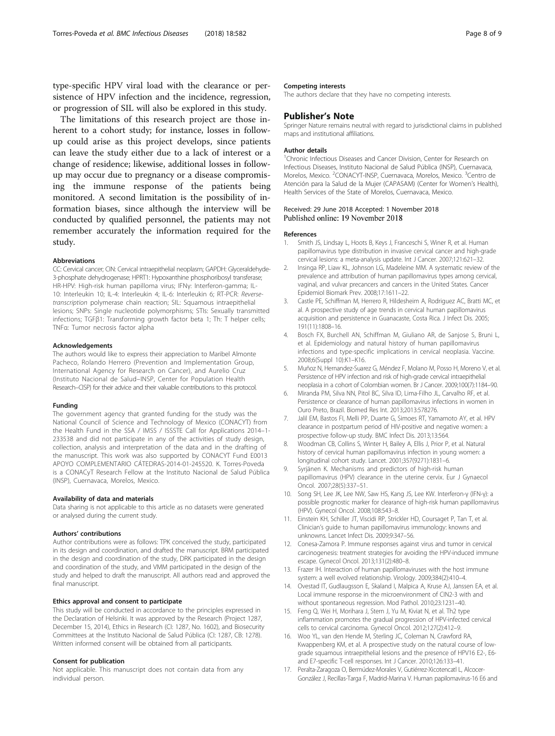<span id="page-7-0"></span>type-specific HPV viral load with the clearance or persistence of HPV infection and the incidence, regression, or progression of SIL will also be explored in this study.

The limitations of this research project are those inherent to a cohort study; for instance, losses in followup could arise as this project develops, since patients can leave the study either due to a lack of interest or a change of residence; likewise, additional losses in followup may occur due to pregnancy or a disease compromising the immune response of the patients being monitored. A second limitation is the possibility of information biases, since although the interview will be conducted by qualified personnel, the patients may not remember accurately the information required for the study.

#### Abbreviations

CC: Cervical cancer; CIN: Cervical intraepithelial neoplasm; GAPDH: Glyceraldehyde-3-phosphate dehydrogenase; HPRT1: Hypoxanthine phosphoribosyl transferase; HR-HPV: High-risk human papilloma virus; IFNγ: Interferon-gamma; IL-10: Interleukin 10; IL-4: Interleukin 4; IL-6: Interleukin 6; RT-PCR: Reversetranscription polymerase chain reaction; SIL: Squamous intraepithelial lesions; SNPs: Single nucleotide polymorphisms; STIs: Sexually transmitted infections; TGFβ1: Transforming growth factor beta 1; Th: T helper cells; TNFα: Tumor necrosis factor alpha

#### Acknowledgements

The authors would like to express their appreciation to Maribel Almonte Pacheco, Rolando Herrero (Prevention and Implementation Group, International Agency for Research on Cancer), and Aurelio Cruz (Instituto Nacional de Salud–INSP, Center for Population Health Research–CISP) for their advice and their valuable contributions to this protocol.

#### Funding

The government agency that granted funding for the study was the National Council of Science and Technology of Mexico (CONACYT) from the Health Fund in the SSA / IMSS / ISSSTE Call for Applications 2014–1- 233538 and did not participate in any of the activities of study design, collection, analysis and interpretation of the data and in the drafting of the manuscript. This work was also supported by CONACYT Fund E0013 APOYO COMPLEMENTARIO CÁTEDRAS-2014-01-245520. K. Torres-Poveda is a CONACyT Research Fellow at the Instituto Nacional de Salud Pública (INSP), Cuernavaca, Morelos, Mexico.

#### Availability of data and materials

Data sharing is not applicable to this article as no datasets were generated or analysed during the current study.

#### Authors' contributions

Author contributions were as follows: TPK conceived the study, participated in its design and coordination, and drafted the manuscript. BRM participated in the design and coordination of the study, DRK participated in the design and coordination of the study, and VMM participated in the design of the study and helped to draft the manuscript. All authors read and approved the final manuscript.

## Ethics approval and consent to participate

This study will be conducted in accordance to the principles expressed in the Declaration of Helsinki. It was approved by the Research (Project 1287, December 15, 2014), Ethics in Research (CI: 1287, No. 1602), and Biosecurity Committees at the Instituto Nacional de Salud Pública (CI: 1287, CB: 1278). Written informed consent will be obtained from all participants.

#### Consent for publication

Not applicable. This manuscript does not contain data from any individual person.

#### Competing interests

The authors declare that they have no competing interests.

## Publisher's Note

Springer Nature remains neutral with regard to jurisdictional claims in published maps and institutional affiliations.

#### Author details

<sup>1</sup> Chronic Infectious Diseases and Cancer Division, Center for Research on Infectious Diseases, Instituto Nacional de Salud Pública (INSP), Cuernavaca, Morelos, Mexico. <sup>2</sup>CONACYT-INSP, Cuernavaca, Morelos, Mexico. <sup>3</sup>Centro de Atención para la Salud de la Mujer (CAPASAM) (Center for Women's Health), Health Services of the State of Morelos, Cuernavaca, Mexico.

## Received: 29 June 2018 Accepted: 1 November 2018 Published online: 19 November 2018

#### References

- 1. Smith JS, Lindsay L, Hoots B, Keys J, Franceschi S, Winer R, et al. Human papillomavirus type distribution in invasive cervical cancer and high-grade cervical lesions: a meta-analysis update. Int J Cancer. 2007;121:621–32.
- 2. Insinga RP, Liaw KL, Johnson LG, Madeleine MM. A systematic review of the prevalence and attribution of human papillomavirus types among cervical, vaginal, and vulvar precancers and cancers in the United States. Cancer Epidemiol Biomark Prev. 2008;17:1611–22.
- 3. Castle PE, Schiffman M, Herrero R, Hildesheim A, Rodriguez AC, Bratti MC, et al. A prospective study of age trends in cervical human papillomavirus acquisition and persistence in Guanacaste, Costa Rica. J Infect Dis. 2005; 191(11):1808–16.
- 4. Bosch FX, Burchell AN, Schiffman M, Giuliano AR, de Sanjose S, Bruni L, et al. Epidemiology and natural history of human papillomavirus infections and type-specific implications in cervical neoplasia. Vaccine. 2008;6(Suppl 10):K1–K16.
- 5. Muñoz N, Hernandez-Suarez G, Méndez F, Molano M, Posso H, Moreno V, et al. Persistence of HPV infection and risk of high-grade cervical intraepithelial neoplasia in a cohort of Colombian women. Br J Cancer. 2009;100(7):1184–90.
- 6. Miranda PM, Silva NN, Pitol BC, Silva ID, Lima-Filho JL, Carvalho RF, et al. Persistence or clearance of human papillomavirus infections in women in Ouro Preto, Brazil. Biomed Res Int. 2013;2013:578276.
- 7. Jalil EM, Bastos FI, Melli PP, Duarte G, Simoes RT, Yamamoto AY, et al. HPV clearance in postpartum period of HIV-positive and negative women: a prospective follow-up study. BMC Infect Dis. 2013;13:564.
- 8. Woodman CB, Collins S, Winter H, Bailey A, Ellis J, Prior P, et al. Natural history of cervical human papillomavirus infection in young women: a longitudinal cohort study. Lancet. 2001;357(9271):1831–6.
- Syrjänen K. Mechanisms and predictors of high-risk human papillomavirus (HPV) clearance in the uterine cervix. Eur J Gynaecol Oncol. 2007;28(5):337–51.
- 10. Song SH, Lee JK, Lee NW, Saw HS, Kang JS, Lee KW. Interferon-γ (IFN-γ): a possible prognostic marker for clearance of high-risk human papillomavirus (HPV). Gynecol Oncol. 2008;108:543–8.
- 11. Einstein KH, Schiller JT, Viscidi RP, Strickler HD, Coursaget P, Tan T, et al. Clinician's guide to human papillomavirus immunology: knowns and unknowns. Lancet Infect Dis. 2009;9:347–56.
- 12. Conesa-Zamora P. Immune responses against virus and tumor in cervical carcinogenesis: treatment strategies for avoiding the HPV-induced immune escape. Gynecol Oncol. 2013;131(2):480–8.
- 13. Frazer IH. Interaction of human papillomaviruses with the host immune system: a well evolved relationship. Virology. 2009;384(2):410–4.
- 14. Ovestad IT, Gudlaugsson E, Skaland I, Malpica A, Kruse AJ, Janssen EA, et al. Local immune response in the microenvironment of CIN2-3 with and without spontaneous regression. Mod Pathol. 2010;23:1231–40.
- 15. Feng Q, Wei H, Morihara J, Stern J, Yu M, Kiviat N, et al. Th2 type inflammation promotes the gradual progression of HPV-infected cervical cells to cervical carcinoma. Gynecol Oncol. 2012;127(2):412–9.
- 16. Woo YL, van den Hende M, Sterling JC, Coleman N, Crawford RA, Kwappenberg KM, et al. A prospective study on the natural course of lowgrade squamous intraepithelial lesions and the presence of HPV16 E2-, E6 and E7-specific T-cell responses. Int J Cancer. 2010;126:133–41.
- 17. Peralta-Zaragoza O, Bermúdez-Morales V, Gutiérrez-Xicotencatl L, Alcocer-González J, Recillas-Targa F, Madrid-Marina V. Human papilomavirus-16 E6 and